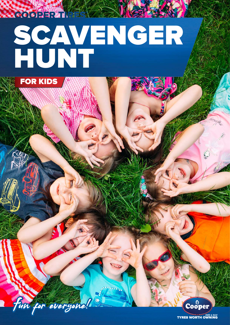## SCAVENGER HUNT



**RRGGERER** 

Ein for everyone!

**TYRES WORTH OWNING** 

Cooper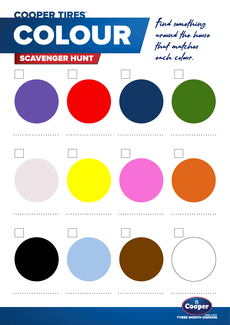

**TYRES WORTH OWNING**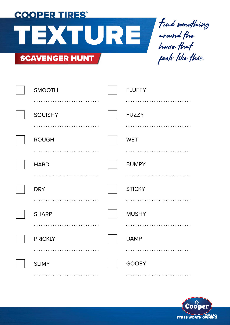**COOPER TIRES®**  $T = \int_{0}^{T} T dt$  something SCAVENGER HUNT

around the house that feels like this.

| <b>SMOOTH</b>  | <b>FLUFFY</b> |
|----------------|---------------|
|                |               |
| <b>SQUISHY</b> | <b>FUZZY</b>  |
|                |               |
| <b>ROUGH</b>   | <b>WET</b>    |
|                |               |
| <b>HARD</b>    | <b>BUMPY</b>  |
|                |               |
|                |               |
| <b>DRY</b>     | <b>STICKY</b> |
|                |               |
| <b>SHARP</b>   | <b>MUSHY</b>  |
|                |               |
| <b>PRICKLY</b> | <b>DAMP</b>   |
|                |               |
| <b>SLIMY</b>   | <b>GOOEY</b>  |

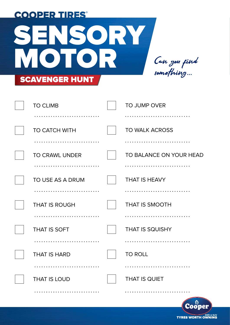| <b>COOPER TIRES</b>           |                           |
|-------------------------------|---------------------------|
| $S = \Sigma S \cdot \Sigma Z$ |                           |
| <b>NOTOR</b>                  | Can you find<br>somefhing |
| <b>SCAVENGER HUNT</b>         |                           |

| <b>TO CLIMB</b>       | TO JUMP OVER            |
|-----------------------|-------------------------|
|                       | .                       |
| <b>TO CATCH WITH</b>  | <b>TO WALK ACROSS</b>   |
|                       |                         |
| <b>TO CRAWL UNDER</b> | TO BALANCE ON YOUR HEAD |
|                       |                         |
| TO USE AS A DRUM      | <b>THAT IS HEAVY</b>    |
|                       |                         |
| <b>THAT IS ROUGH</b>  | <b>THAT IS SMOOTH</b>   |
|                       |                         |
| THAT IS SOFT          | <b>THAT IS SQUISHY</b>  |
|                       |                         |
| <b>THAT IS HARD</b>   | <b>TO ROLL</b>          |
|                       |                         |
| <b>THAT IS LOUD</b>   | <b>THAT IS QUIET</b>    |
|                       |                         |

Cooper **TYRES WORTH OWNING**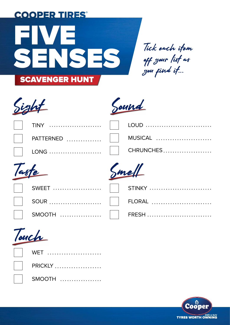

off your list as you find it...





|                | Taste               | Smell   |
|----------------|---------------------|---------|
|                |                     |         |
| $\mathbb{R}^n$ | $\mathsf{PATHRNED}$ | MUSICAL |
|                | $ $   TINY          | LOUD    |

| $\begin{array}{c} \begin{array}{c} \circ \\ \circ \end{array} \end{array}$ |
|----------------------------------------------------------------------------|
|                                                                            |
| $\vert$ SMOOTH                                                             |

| mell<br>$\boldsymbol{D}$ |  |
|--------------------------|--|
|                          |  |

| $\sim$ |  |
|--------|--|
| STINKY |  |
| FLORAL |  |
| FRESH  |  |



| WET      |
|----------|
| PRICKLY  |
| $SMOOTH$ |